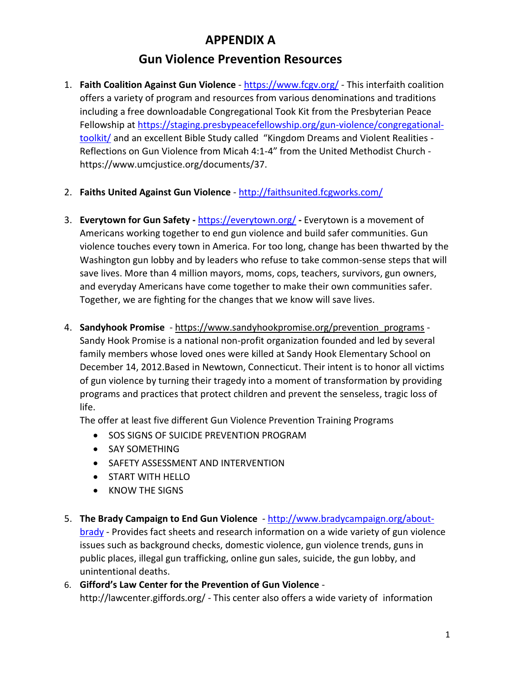## **APPENDIX A**

## **Gun Violence Prevention Resources**

- 1. **Faith Coalition Against Gun Violence** <https://www.fcgv.org/> This interfaith coalition offers a variety of program and resources from various denominations and traditions including a free downloadable Congregational Took Kit from the Presbyterian Peace Fellowship at [https://staging.presbypeacefellowship.org/gun-violence/congregational](https://staging.presbypeacefellowship.org/gun-violence/congregational-toolkit/)[toolkit/](https://staging.presbypeacefellowship.org/gun-violence/congregational-toolkit/) and an excellent Bible Study called "Kingdom Dreams and Violent Realities - Reflections on Gun Violence from Micah 4:1-4" from the United Methodist Church https://www.umcjustice.org/documents/37.
- 2. **Faiths United Against Gun Violence**  <http://faithsunited.fcgworks.com/>
- 3. **Everytown for Gun Safety -** <https://everytown.org/> **-** Everytown is a movement of Americans working together to end gun violence and build safer communities. Gun violence touches every town in America. For too long, change has been thwarted by the Washington gun lobby and by leaders who refuse to take common-sense steps that will save lives. More than 4 million mayors, moms, cops, teachers, survivors, gun owners, and everyday Americans have come together to make their own communities safer. Together, we are fighting for the changes that we know will save lives.
- 4. **Sandyhook Promise** https://www.sandyhookpromise.org/prevention\_programs Sandy Hook Promise is a national non-profit organization founded and led by several family members whose loved ones were killed at Sandy Hook Elementary School on December 14, 2012.Based in Newtown, Connecticut. Their intent is to honor all victims of gun violence by turning their tragedy into a moment of transformation by providing programs and practices that protect children and prevent the senseless, tragic loss of life.

The offer at least five different Gun Violence Prevention Training Programs

- SOS SIGNS OF SUICIDE PREVENTION PROGRAM
- SAY SOMETHING
- **SAFETY ASSESSMENT AND INTERVENTION**
- **START WITH HELLO**
- KNOW THE SIGNS
- 5. **The Brady Campaign to End Gun Violence** [http://www.bradycampaign.org/about](http://www.bradycampaign.org/about-brady)[brady](http://www.bradycampaign.org/about-brady) - Provides fact sheets and research information on a wide variety of gun violence issues such as background checks, domestic violence, gun violence trends, guns in public places, illegal gun trafficking, online gun sales, suicide, the gun lobby, and unintentional deaths.
- 6. **Gifford's Law Center for the Prevention of Gun Violence** http://lawcenter.giffords.org/ - This center also offers a wide variety of information